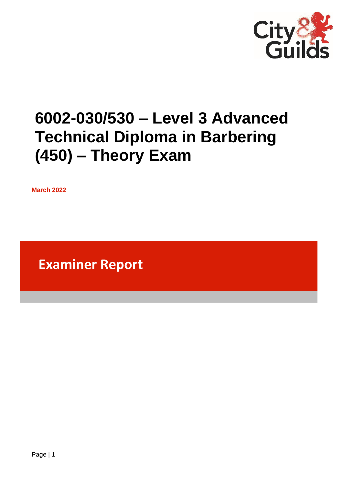

# **6002-030/530 – Level 3 Advanced Technical Diploma in Barbering (450) – Theory Exam**

**March 2022**

**Examiner Report**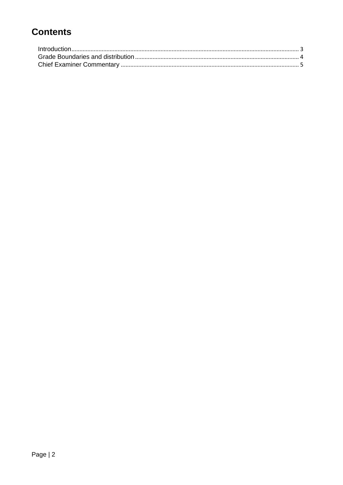## **Contents**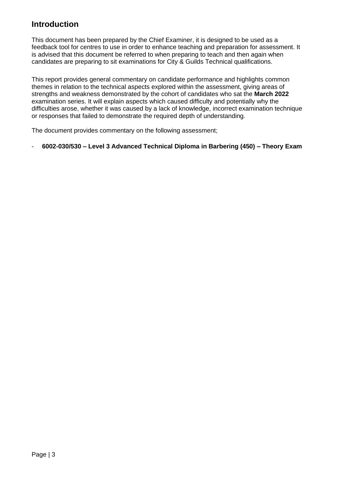### <span id="page-2-0"></span>**Introduction**

This document has been prepared by the Chief Examiner, it is designed to be used as a feedback tool for centres to use in order to enhance teaching and preparation for assessment. It is advised that this document be referred to when preparing to teach and then again when candidates are preparing to sit examinations for City & Guilds Technical qualifications.

This report provides general commentary on candidate performance and highlights common themes in relation to the technical aspects explored within the assessment, giving areas of strengths and weakness demonstrated by the cohort of candidates who sat the **March 2022** examination series. It will explain aspects which caused difficulty and potentially why the difficulties arose, whether it was caused by a lack of knowledge, incorrect examination technique or responses that failed to demonstrate the required depth of understanding.

The document provides commentary on the following assessment;

- **6002-030/530 – Level 3 Advanced Technical Diploma in Barbering (450) – Theory Exam**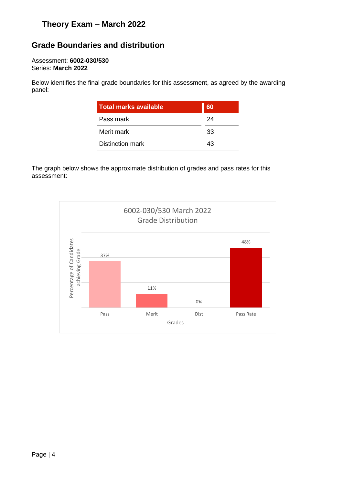## **Theory Exam – March 2022**

## <span id="page-3-0"></span>**Grade Boundaries and distribution**

#### Assessment: **6002-030/530** Series: **March 2022**

Below identifies the final grade boundaries for this assessment, as agreed by the awarding panel:

| <b>Total marks available</b> | 60 |
|------------------------------|----|
| Pass mark                    | 24 |
| Merit mark                   | 33 |
| <b>Distinction mark</b>      | 43 |

The graph below shows the approximate distribution of grades and pass rates for this assessment: